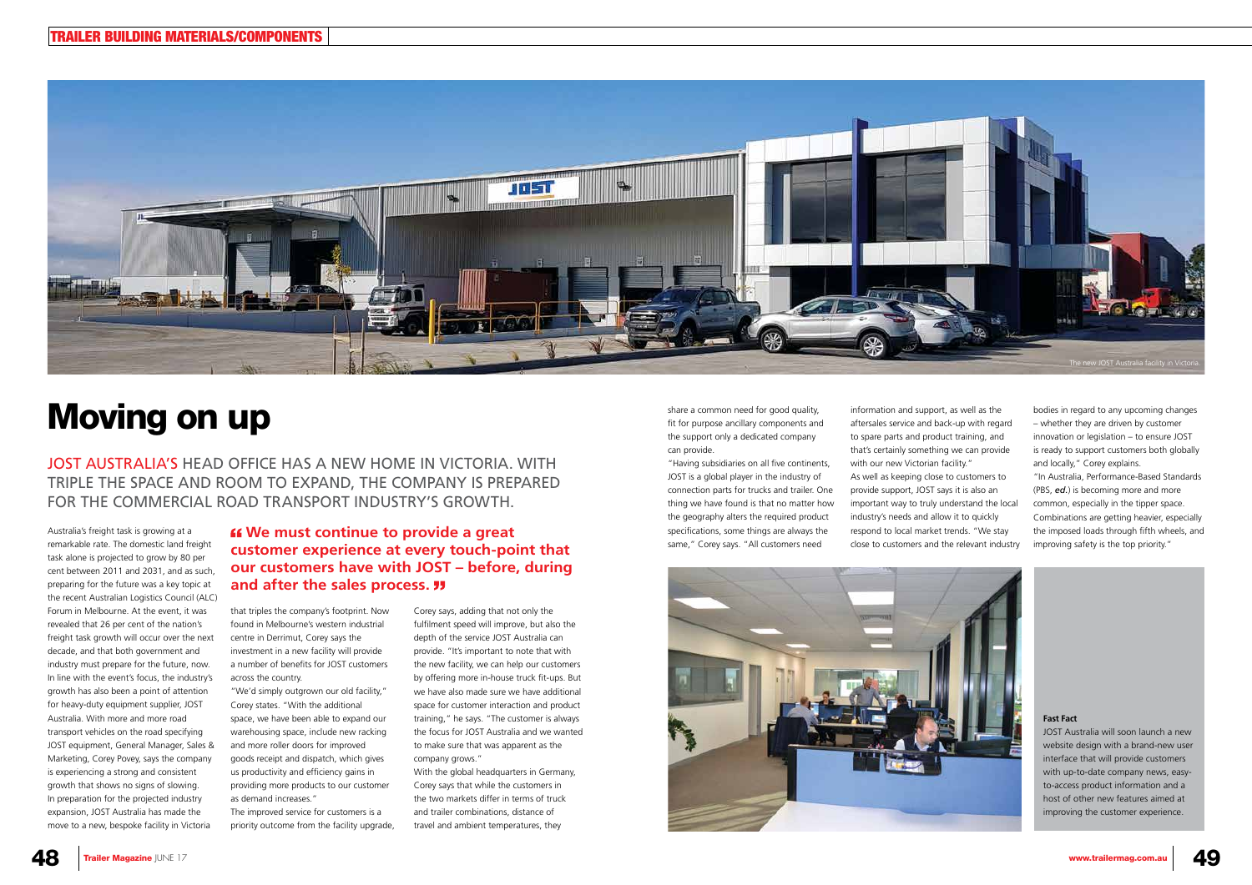share a common need for good quality, fit for purpose ancillary components and the support only a dedicated company can provide.

"Having subsidiaries on all five continents, JOST is a global player in the industry of connection parts for trucks and trailer. One thing we have found is that no matter how the geography alters the required product specifications, some things are always the same," Corey says. "All customers need

information and support, as well as the aftersales service and back-up with regard to spare parts and product training, and that's certainly something we can provide with our new Victorian facility." As well as keeping close to customers to provide support, JOST says it is also an important way to truly understand the local industry's needs and allow it to quickly respond to local market trends. "We stay close to customers and the relevant industry



bodies in regard to any upcoming changes – whether they are driven by customer innovation or legislation – to ensure JOST is ready to support customers both globally and locally," Corey explains.

"In Australia, Performance-Based Standards (PBS, *ed.*) is becoming more and more common, especially in the tipper space. Combinations are getting heavier, especially the imposed loads through fifth wheels, and improving safety is the top priority."

## Moving on up

Australia's freight task is growing at a remarkable rate. The domestic land freight task alone is projected to grow by 80 per cent between 2011 and 2031, and as such, preparing for the future was a key topic at the recent Australian Logistics Council (ALC) Forum in Melbourne. At the event, it was revealed that 26 per cent of the nation's freight task growth will occur over the next decade, and that both government and industry must prepare for the future, now. In line with the event's focus, the industry's growth has also been a point of attention for heavy-duty equipment supplier, JOST Australia. With more and more road transport vehicles on the road specifying JOST equipment, General Manager, Sales & Marketing, Corey Povey, says the company is experiencing a strong and consistent growth that shows no signs of slowing. In preparation for the projected industry expansion, JOST Australia has made the move to a new, bespoke facility in Victoria

### *K* We must continue to provide a great **customer experience at every touch-point that our customers have with JOST – before, during and after the sales process.**

that triples the company's footprint. Now found in Melbourne's western industrial centre in Derrimut, Corey says the investment in a new facility will provide a number of benefits for JOST customers across the country.

"We'd simply outgrown our old facility," Corey states. "With the additional space, we have been able to expand our warehousing space, include new racking and more roller doors for improved goods receipt and dispatch, which gives us productivity and efficiency gains in providing more products to our customer as demand increases."

The improved service for customers is a priority outcome from the facility upgrade, Corey says, adding that not only the fulfilment speed will improve, but also the depth of the service JOST Australia can provide. "It's important to note that with the new facility, we can help our customers by offering more in-house truck fit-ups. But we have also made sure we have additional space for customer interaction and product training," he says. "The customer is always the focus for JOST Australia and we wanted to make sure that was apparent as the company grows."

With the global headquarters in Germany, Corey says that while the customers in the two markets differ in terms of truck and trailer combinations, distance of travel and ambient temperatures, they

JOST AUSTRALIA'S HEAD OFFICE HAS A NEW HOME IN VICTORIA. WITH TRIPLE THE SPACE AND ROOM TO EXPAND, THE COMPANY IS PREPARED FOR THE COMMERCIAL ROAD TRANSPORT INDUSTRY'S GROWTH.

#### **Fast Fact**

JOST Australia will soon launch a new website design with a brand-new user interface that will provide customers with up-to-date company news, easyto-access product information and a host of other new features aimed at improving the customer experience.